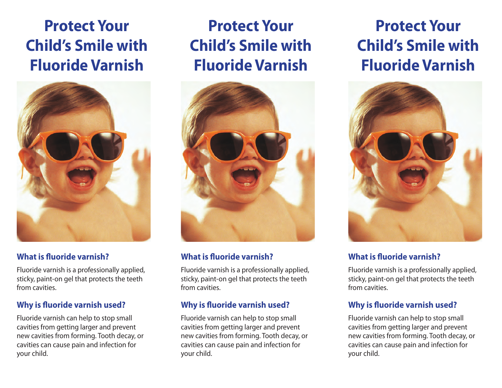## **Protect Your Child's Smile with Fluoride Varnish**



## **What is fluoride varnish?**

Fluoride varnish is a professionally applied, sticky, paint-on gel that protects the teeth from cavities.

## **Why is fluoride varnish used?**

Fluoride varnish can help to stop small cavities from getting larger and prevent new cavities from forming. Tooth decay, or cavities can cause pain and infection for your child.